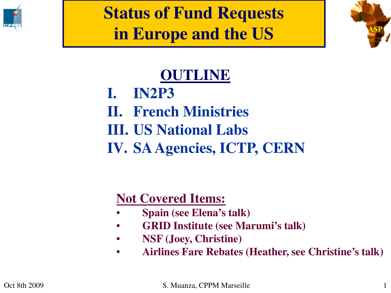

**Status of Fund Requests in Europe and the US**



## **OUTLINE**

**I. IN2P3 II. French Ministries III. US National Labs IV. SA Agencies, ICTP, CERN**

## **Not Covered Items:**

- **Spain (see Elena's talk)**
- **GRID Institute (see Marumi's talk)**
- **NSF (Joey, Christine)**
- **Airlines Fare Rebates (Heather, see Christine's talk)**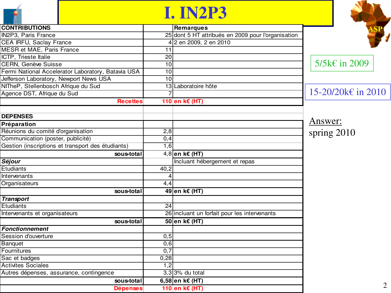## **I. IN2P3**

| <b>CONTRIBUTIONS</b>                               |                  | <b>Remarques</b>                                   |                    |
|----------------------------------------------------|------------------|----------------------------------------------------|--------------------|
| <b>IN2P3, Paris France</b>                         |                  | 25 dont 5 HT attribués en 2009 pour l'organisation |                    |
| <b>CEA IRFU, Saclay France</b>                     |                  | 4 2 en 2009, 2 en 2010                             |                    |
| <b>MESR et MAE, Paris France</b>                   | 11               |                                                    |                    |
| ICTP, Trieste Italie                               | 20               |                                                    |                    |
| CERN, Genève Suisse                                | 10               |                                                    | 5/5k€ in 2009      |
| Fermi National Accelerator Laboratory, Batavia USA | 10               |                                                    |                    |
| Jefferson Laboratory, Newport News USA             | 10               |                                                    |                    |
| NITheP, Stellenbosch Afrique du Sud                |                  | 13 Laboratoire hôte                                |                    |
| Agence DST, Afrique du Sud                         |                  |                                                    | 15-20/20k€ in 2010 |
| <b>Recettes</b>                                    |                  | 110 en k€ (HT)                                     |                    |
| <b>DEPENSES</b>                                    |                  |                                                    |                    |
| Préparation                                        |                  |                                                    | Answer:            |
| Réunions du comité d'organisation                  | 2,8              |                                                    | spring $2010$      |
| Communication (poster, publicité)                  | $\overline{0,4}$ |                                                    |                    |
| Gestion (inscriptions et transport des étudiants)  | 1,6              |                                                    |                    |
| sous-total                                         |                  | 4,8 en k€ (HT)                                     |                    |
| Séjour                                             |                  | Incluant hébergement et repas                      |                    |
| Etudiants                                          | 40,2             |                                                    |                    |
| Intervenants                                       |                  |                                                    |                    |
| Organisateurs                                      | 4,4              |                                                    |                    |
| sous-total                                         |                  | 49 en k€ (HT)                                      |                    |
| <b>Transport</b>                                   |                  |                                                    |                    |
| Etudiants                                          | 24               |                                                    |                    |
| Intervenants et organisateurs                      |                  | 26 incluant un forfait pour les intervenants       |                    |
| sous-total                                         |                  | 50 en k€ (HT)                                      |                    |
| <b>Fonctionnement</b>                              |                  |                                                    |                    |
| Session d'ouverture                                | 0,5              |                                                    |                    |
| <b>Banquet</b>                                     | 0,6              |                                                    |                    |
| Fournitures                                        | 0,7              |                                                    |                    |
| Sac et badges                                      | 0,28             |                                                    |                    |
| <b>Activites Sociales</b>                          | 1,2              |                                                    |                    |
| Autres dépenses, assurance, contingence            |                  | $3,3$ 3% du total                                  |                    |
| sous-total                                         |                  | 6,58 en k€ (HT)                                    |                    |
| <b>Dépenses</b>                                    |                  | 110 en k€ (HT)                                     | 2                  |

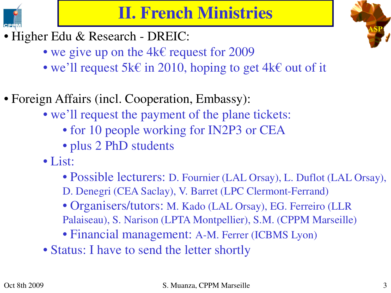

- Higher Edu & Research DREIC:
	- we give up on the  $4k \in \mathbb{C}$  request for 2009
	- we'll request 5k€ in 2010, hoping to get 4k€ out of it
- Foreign Affairs (incl. Cooperation, Embassy):
	- we'll request the payment of the plane tickets:
		- for 10 people working for IN2P3 or CEA
		- plus 2 PhD students
	- List:
		- Possible lecturers: D. Fournier (LAL Orsay), L. Duflot (LAL Orsay),
		- D. Denegri (CEA Saclay), V. Barret (LPC Clermont-Ferrand)
		- Organisers/tutors: M. Kado (LAL Orsay), EG. Ferreiro (LLR Palaiseau), S. Narison (LPTA Montpellier), S.M. (CPPM Marseille)
		- Financial management: A-M. Ferrer (ICBMS Lyon)
	- Status: I have to send the letter shortly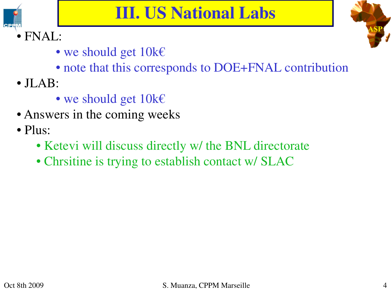



- we should get  $10k \in$
- note that this corresponds to DOE+FNAL contribution
- JLAB:
	- we should get  $10k \in$
- Answers in the coming weeks
- Plus:
	- Ketevi will discuss directly w/ the BNL directorate
	- Chrsitine is trying to establish contact w/ SLAC